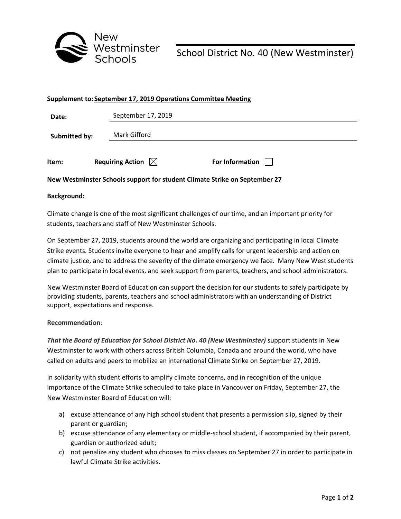

School District No. 40 (New Westminster)

| Supplement to: September 17, 2019 Operations Committee Meeting |                              |                 |
|----------------------------------------------------------------|------------------------------|-----------------|
| Date:                                                          | September 17, 2019           |                 |
| Submitted by:                                                  | Mark Gifford                 |                 |
| Item:                                                          | Requiring Action $\boxtimes$ | For Information |

## **New Westminster Schools support for student Climate Strike on September 27**

## **Background:**

Climate change is one of the most significant challenges of our time, and an important priority for students, teachers and staff of New Westminster Schools.

On September 27, 2019, students around the world are organizing and participating in local Climate Strike events. Students invite everyone to hear and amplify calls for urgent leadership and action on climate justice, and to address the severity of the climate emergency we face. Many New West students plan to participate in local events, and seek support from parents, teachers, and school administrators.

New Westminster Board of Education can support the decision for our students to safely participate by providing students, parents, teachers and school administrators with an understanding of District support, expectations and response.

## **Recommendation**:

*That the Board of Education for School District No. 40 (New Westminster)* support students in New Westminster to work with others across British Columbia, Canada and around the world, who have called on adults and peers to mobilize an international Climate Strike on September 27, 2019.

In solidarity with student efforts to amplify climate concerns, and in recognition of the unique importance of the Climate Strike scheduled to take place in Vancouver on Friday, September 27, the New Westminster Board of Education will:

- a) excuse attendance of any high school student that presents a permission slip, signed by their parent or guardian;
- b) excuse attendance of any elementary or middle-school student, if accompanied by their parent, guardian or authorized adult;
- c) not penalize any student who chooses to miss classes on September 27 in order to participate in lawful Climate Strike activities.